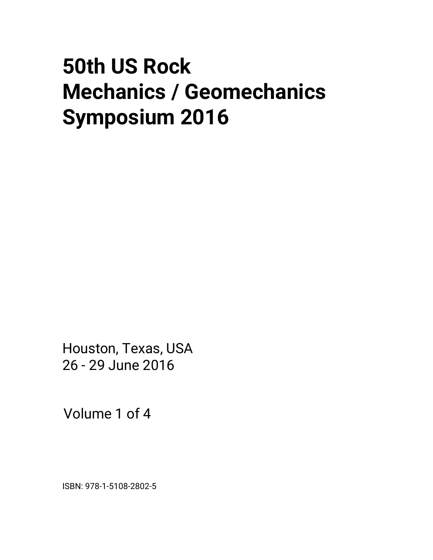# **50th US Rock Mechanics / Geomechanics Symposium 2016**

Houston, Texas, USA 26 - 29 June 2016

Volume 1 of 4

ISBN: 978-1-5108-2802-5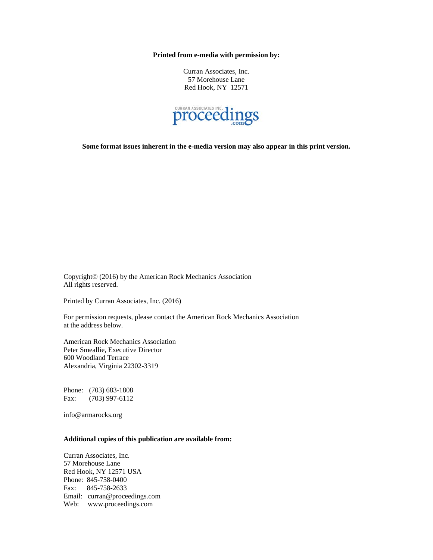**Printed from e-media with permission by:** 

Curran Associates, Inc. 57 Morehouse Lane Red Hook, NY 12571



**Some format issues inherent in the e-media version may also appear in this print version.** 

Copyright© (2016) by the American Rock Mechanics Association All rights reserved.

Printed by Curran Associates, Inc. (2016)

For permission requests, please contact the American Rock Mechanics Association at the address below.

American Rock Mechanics Association Peter Smeallie, Executive Director 600 Woodland Terrace Alexandria, Virginia 22302-3319

Phone: (703) 683-1808 Fax: (703) 997-6112

info@armarocks.org

## **Additional copies of this publication are available from:**

Curran Associates, Inc. 57 Morehouse Lane Red Hook, NY 12571 USA Phone: 845-758-0400 Fax: 845-758-2633 Email: curran@proceedings.com Web: www.proceedings.com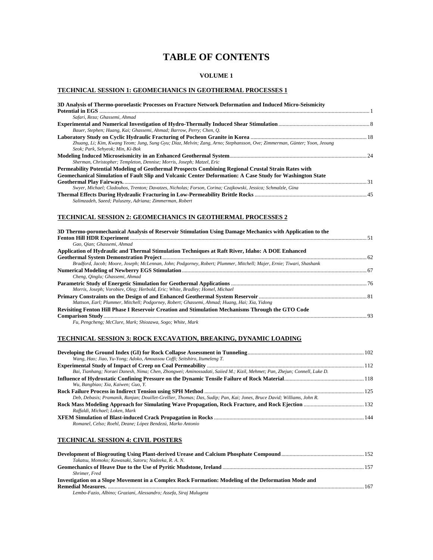# **TABLE OF CONTENTS**

## **VOLUME 1**

## **TECHNICAL SESSION 1: GEOMECHANICS IN GEOTHERMAL PROCESSES 1**

| 3D Analysis of Thermo-poroelastic Processes on Fracture Network Deformation and Induced Micro-Seismicity                 |  |
|--------------------------------------------------------------------------------------------------------------------------|--|
|                                                                                                                          |  |
| Safari, Reza; Ghassemi, Ahmad                                                                                            |  |
|                                                                                                                          |  |
| Bauer, Stephen; Huang, Kai; Ghassemi, Ahmad; Barrow, Perry; Chen, O.                                                     |  |
|                                                                                                                          |  |
| Zhuang, Li; Kim, Kwang Yeom; Jung, Sung Gyu; Diaz, Melvin; Zang, Arno; Stephansson, Ove; Zimmerman, Günter; Yoon, Jeoung |  |
| Seok; Park, Sehyeok; Min, Ki-Bok                                                                                         |  |
|                                                                                                                          |  |
| Sherman, Christopher; Templeton, Dennise; Morris, Joseph; Matzel, Eric                                                   |  |
| Permeability Potential Modeling of Geothermal Prospects Combining Regional Crustal Strain Rates with                     |  |
| Geomechanical Simulation of Fault Slip and Volcanic Center Deformation: A Case Study for Washington State                |  |
|                                                                                                                          |  |
| Swyer, Michael; Cladouhos, Trenton; Davatzes, Nicholas; Forson, Corina; Czajkowski, Jessica; Schmalzle, Gina             |  |
|                                                                                                                          |  |
| Salimzadeh, Saeed; Paluszny, Adriana; Zimmerman, Robert                                                                  |  |

#### **TECHNICAL SESSION 2: GEOMECHANICS IN GEOTHERMAL PROCESSES 2**

| 3D Thermo-poromechanical Analysis of Reservoir Stimulation Using Damage Mechanics with Application to the            |    |
|----------------------------------------------------------------------------------------------------------------------|----|
|                                                                                                                      |    |
| Gao, Oian: Ghassemi, Ahmad                                                                                           |    |
| Application of Hydraulic and Thermal Stimulation Techniques at Raft River, Idaho: A DOE Enhanced                     |    |
|                                                                                                                      |    |
| Bradford, Jacob; Moore, Joseph; McLennan, John; Podgorney, Robert; Plummer, Mitchell; Majer, Ernie; Tiwari, Shashank |    |
|                                                                                                                      |    |
| Cheng, Oinglu; Ghassemi, Ahmad                                                                                       |    |
|                                                                                                                      |    |
| Morris, Joseph; Vorobiev, Oleg; Herbold, Eric; White, Bradley; Homel, Michael                                        |    |
|                                                                                                                      |    |
| Mattson, Earl; Plummer, Mitchell; Podgorney, Robert; Ghassemi, Ahmad; Huang, Hai; Xia, Yidong                        |    |
| Revisiting Fenton Hill Phase I Reservoir Creation and Stimulation Mechanisms Through the GTO Code                    |    |
|                                                                                                                      | 93 |
| Fu. Pengcheng: McClure, Mark: Shiozawa, Sogo: White, Mark                                                            |    |

## **TECHNICAL SESSION 3: ROCK EXCAVATION, BREAKING, DYNAMIC LOADING**

| Wang, Hao; Jiao, Yu-Yong; Adoko, Amoussou Coffi; Seitshiro, Itumeleng T.                                                  |  |
|---------------------------------------------------------------------------------------------------------------------------|--|
|                                                                                                                           |  |
| Bai, Tianhang; Noraei Danesh, Nima; Chen, Zhongwei; Aminossadati, Saiied M.; Kizil, Mehmet; Pan, Zhejun; Connell, Luke D. |  |
|                                                                                                                           |  |
| Wu, Bangbiao; Xia, Kaiwen; Guo, Y.                                                                                        |  |
|                                                                                                                           |  |
| Deb, Debasis; Pramanik, Ranjan; Douillet-Grellier, Thomas; Das, Sudip; Pan, Kai; Jones, Bruce David; Williams, John R.    |  |
|                                                                                                                           |  |
| Raffaldi, Michael; Loken, Mark                                                                                            |  |
|                                                                                                                           |  |
| Romanel, Celso; Roehl, Deane; López Bendezú, Marko Antonio                                                                |  |

## **TECHNICAL SESSION 4: CIVIL POSTERS**

| Takatsu, Momoko; Kawasaki, Satoru; Nadeeka, R. A. N.                                                |     |
|-----------------------------------------------------------------------------------------------------|-----|
|                                                                                                     |     |
| Shrimer. Fred                                                                                       |     |
| Investigation on a Slope Movement in a Complex Rock Formation: Modeling of the Deformation Mode and |     |
|                                                                                                     | 167 |
| Lembo-Fazio, Albino; Graziani, Alessandro; Assefa, Siraj Mulugeta                                   |     |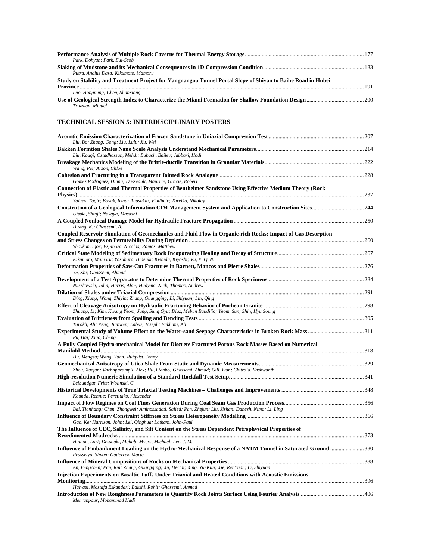| Park, Dohvun: Park, Eui-Seob                                                                                 |     |
|--------------------------------------------------------------------------------------------------------------|-----|
|                                                                                                              |     |
| Putra, Andius Dasa: Kikumoto, Mamoru                                                                         |     |
| Study on Stability and Treatment Project for Yangnangou Tunnel Portal Slope of Shiyan to Baihe Road in Hubei |     |
|                                                                                                              | 191 |
| Luo, Hongming; Chen, Shanxiong                                                                               |     |
|                                                                                                              |     |
| Truzman, Miguel                                                                                              |     |

## **TECHNICAL SESSION 5: INTERDISCIPLINARY POSTERS**

| Liu, Bo; Zhang, Gong; Liu, Lulu; Xu, Wei                                                                                                         |  |
|--------------------------------------------------------------------------------------------------------------------------------------------------|--|
|                                                                                                                                                  |  |
| Liu, Kouqi; Ostadhassan, Mehdi; Bubach, Bailey; Jabbari, Hadi                                                                                    |  |
| Wang, Pei; Arson, Chloe                                                                                                                          |  |
| Gomez Rodriguez, Diana; Dusseault, Maurice; Gracie, Robert                                                                                       |  |
| Connection of Elastic and Thermal Properties of Bentheimer Sandstone Using Effective Medium Theory (Rock                                         |  |
| Yalaev, Tagir; Bayuk, Irina; Abashkin, Vladimir; Tarelko, Nikolay                                                                                |  |
| <b>Constrution of a Geological Information CIM Management System and Application to Construction Sites244</b><br>Utsuki, Shinji; Nakaya, Masashi |  |
| Huang, K.; Ghassemi, A.                                                                                                                          |  |
| Coupled Reservoir Simulation of Geomechanics and Fluid Flow in Organic-rich Rocks: Impact of Gas Desorption                                      |  |
| Shovkun, Igor; Espinoza, Nicolas; Ramos, Matthew                                                                                                 |  |
|                                                                                                                                                  |  |
| Kikumoto, Mamoru; Yasuhara, Hideaki; Kishida, Kiyoshi; Vu, P. Q. N.                                                                              |  |
|                                                                                                                                                  |  |
| Ye, Zhi; Ghassemi, Ahmad                                                                                                                         |  |
| Nuszkowski, John; Harris, Alan; Hudyma, Nick; Thomas, Andrew                                                                                     |  |
|                                                                                                                                                  |  |
| Ding, Xiang; Wang, Zhiyin; Zhang, Guangqing; Li, Shiyuan; Lin, Qing                                                                              |  |
| Zhuang, Li; Kim, Kwang Yeom; Jung, Sung Gyu; Diaz, Melvin Baudilio; Yeom, Sun; Shin, Hyu Soung                                                   |  |
|                                                                                                                                                  |  |
| Tarokh, Ali; Peng, Jianwen; Labuz, Joseph; Fakhimi, Ali                                                                                          |  |
| Pu, Hai; Xiao, Cheng                                                                                                                             |  |
| A Fully Coupled Hydro-mechanical Model for Discrete Fractured Porous Rock Masses Based on Numerical                                              |  |
|                                                                                                                                                  |  |
| Hu, Mengsu; Wang, Yuan; Rutqvist, Jonny                                                                                                          |  |
|                                                                                                                                                  |  |
| Zhou, Xuejun; Vachaparampil, Alex; Hu, Lianbo; Ghassemi, Ahmad; Gill, Ivan; Chitrala, Yashwanth                                                  |  |
| Leibundgut, Fritz; Wolinski, C.                                                                                                                  |  |
|                                                                                                                                                  |  |
| Kaunda, Rennie; Peretitako, Alexander                                                                                                            |  |
| Bai, Tianhang; Chen, Zhongwei; Aminossadati, Saiied; Pan, Zhejun; Liu, Jishan; Danesh, Nima; Li, Ling                                            |  |
| Gao, Ke; Harrison, John; Lei, Qinghua; Latham, John-Paul                                                                                         |  |
| The Influence of CEC, Salinity, and Silt Content on the Stress Dependent Petrophysical Properties of                                             |  |
|                                                                                                                                                  |  |
| Hathon, Lori; Dessouki, Mohab; Myers, Michael; Lee, J. M.                                                                                        |  |
| Prassetyo, Simon; Gutierrez, Marte                                                                                                               |  |
|                                                                                                                                                  |  |
| An, Fengchen; Pan, Rui; Zhang, Guangqing; Xu, DeCai; Xing, YueKun; Xie, RenYuan; Li, Shiyuan                                                     |  |
| Injection Experiments on Basaltic Tuffs Under Triaxial and Heated Conditions with Acoustic Emissions                                             |  |
|                                                                                                                                                  |  |
| Halvaei, Mostafa Eskandari; Bakshi, Rohit; Ghassemi, Ahmad                                                                                       |  |
| Mehranpour, Mohammad Hadi                                                                                                                        |  |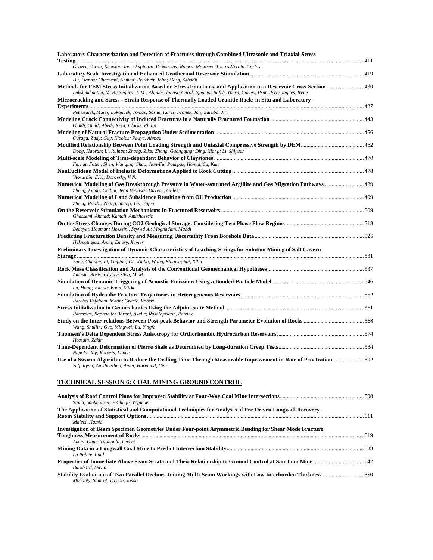| Laboratory Characterization and Detection of Fractures through Combined Ultrasonic and Triaxial-Stress                                                |  |
|-------------------------------------------------------------------------------------------------------------------------------------------------------|--|
| Grover, Tarun; Shovkun, Igor; Espinoza, D. Nicolas; Ramos, Matthew; Torres-Verdin, Carlos                                                             |  |
|                                                                                                                                                       |  |
| Hu, Lianbo; Ghassemi, Ahmad; Pritchett, John; Garg, Sabodh                                                                                            |  |
| Lakshmikantha, M. R.; Segura, J. M.; Aliguer, Ignasi; Carol, Ignacio; Rafels-Ybern, Carles; Prat, Pere; Jaques, Irene                                 |  |
| Microcracking and Stress - Strain Response of Thermally Loaded Granitic Rock: in Situ and Laboratory                                                  |  |
| Petruzalek, Matej; Lokajicek, Tomas; Sosna, Karel; Franek, Jan; Zaruba, Jiri                                                                          |  |
| Omidi, Omid; Abedi, Reza; Clarke, Philip                                                                                                              |  |
| Ouraga, Zady; Guy, Nicolas; Pouya, Ahmad                                                                                                              |  |
| Dong, Haoran; Li, Ruinan; Zhang, Zike; Zhang, Guangqing; Ding, Xiang; Li, Shiyuan                                                                     |  |
| Farhat, Faten; Shen, Wanqing; Shao, Jian-Fu; Pourpak, Hamid; Su, Kun                                                                                  |  |
| Vtorushin, E.V.; Dorovsky, V.N.                                                                                                                       |  |
| Zhang, Xiang; Colliat, Jean Baptiste; Duveau, Gilles;                                                                                                 |  |
| Zhong, Ruizhi; Zhang, Shang; Liu, Yupei                                                                                                               |  |
| Ghassemi, Ahmad; Kamali, Amirhossein                                                                                                                  |  |
| Bedayat, Houman; Hosseini, Seyyed A.; Moghadam, Mahdi                                                                                                 |  |
| Hekmatnejad, Amin; Emery, Xavier                                                                                                                      |  |
| Preliminary Investigation of Dynamic Characteristics of Leaching Strings for Solution Mining of Salt Cavern                                           |  |
| Yang, Chunhe; Li, Yinping; Ge, Xinbo; Wang, Bingwu; Shi, Xilin                                                                                        |  |
| Amusin, Boris; Costa e Silva, M. M.                                                                                                                   |  |
| Lu, Hang; van der Baan, Mirko                                                                                                                         |  |
| Simulation of Hydraulic Fracture Trajectories in Heterogeneous Reservoirs………………………………………………………………………………552<br>Parchei Esfahani, Matin; Gracie, Robert |  |
| Pancrace, Raphaelle; Baroni, Axelle; Rasolofosaon, Patrick                                                                                            |  |
| Wang, Shuilin; Guo, Mingwei; Lu, Yingfa                                                                                                               |  |
| Hossain, Zakir                                                                                                                                        |  |
| Nopola, Jay; Roberts, Lance                                                                                                                           |  |
| Self, Ryan; Atashnezhad, Amin; Hareland, Geir                                                                                                         |  |
| TECHNICAL SESSION 6: COAL MINING GROUND CONTROL                                                                                                       |  |
| Sinha, Sankhaneel; P Chugh, Yoginder                                                                                                                  |  |
| The Application of Statistical and Computational Techniques for Analyses of Pre-Driven Longwall Recovery-                                             |  |
| Maleki, Hamid                                                                                                                                         |  |

| Maleki, Hamid                                                                                         |  |
|-------------------------------------------------------------------------------------------------------|--|
| Investigation of Beam Specimen Geometries Under Four-point Asymmetric Bending for Shear Mode Fracture |  |
|                                                                                                       |  |
| Alkan, Ugur; Tutluoglu, Levent                                                                        |  |
|                                                                                                       |  |
| La Pointe, Paul                                                                                       |  |
|                                                                                                       |  |
| Burkhard, David                                                                                       |  |
|                                                                                                       |  |
| Mohanty, Samrat; Layton, Jason                                                                        |  |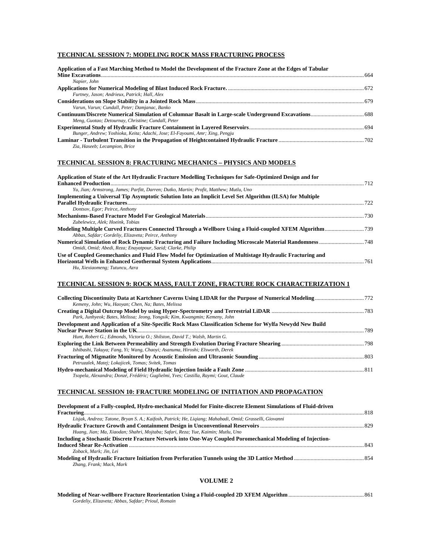## **TECHNICAL SESSION 7: MODELING ROCK MASS FRACTURING PROCESS**

| Application of a Fast Marching Method to Model the Development of the Fracture Zone at the Edges of Tabular |  |
|-------------------------------------------------------------------------------------------------------------|--|
|                                                                                                             |  |
| Napier, John                                                                                                |  |
|                                                                                                             |  |
| Furtney, Jason; Andrieux, Patrick; Hall, Alex                                                               |  |
|                                                                                                             |  |
| Varun, Varun: Cundall, Peter: Damianac, Banko                                                               |  |
|                                                                                                             |  |
| Meng, Guotao; Detournay, Christine; Cundall, Peter                                                          |  |
|                                                                                                             |  |
| Bunger, Andrew; Yoshioka, Keita; Adachi, Jose; El-Fayoumi, Amr; Xing, Pengju                                |  |
|                                                                                                             |  |
| Zia, Haseeb; Lecampion, Brice                                                                               |  |

## **TECHNICAL SESSION 8: FRACTURING MECHANICS – PHYSICS AND MODELS**

| Application of State of the Art Hydraulic Fracture Modelling Techniques for Safe-Optimized Design and for                                  |
|--------------------------------------------------------------------------------------------------------------------------------------------|
| Yu, Jian; Armstrong, James; Parfitt, Darren; Dutko, Martin; Profit, Matthew; Mutlu, Uno                                                    |
| Implementing a Universal Tip Asymptotic Solution Into an Implicit Level Set Algorithm (ILSA) for Multiple                                  |
| 722                                                                                                                                        |
| Dontsov, Egor; Peirce, Anthony                                                                                                             |
|                                                                                                                                            |
| Zubelewicz, Alek: Hoeink, Tobias                                                                                                           |
| Abbas, Safdar; Gordeliy, Elizaveta; Peirce, Anthony                                                                                        |
| Omidi, Omid; Abedi, Reza; Enayatpour, Saeid; Clarke, Philip                                                                                |
| Use of Coupled Geomechanics and Fluid Flow Model for Optimization of Multistage Hydraulic Fracturing and<br>Hu, Xiexiaomeng; Tutuncu, Azra |

#### **TECHNICAL SESSION 9: ROCK MASS, FAULT ZONE, FRACTURE ROCK CHARACTERIZATION 1**

| Kemeny, John; Wu, Haoyan; Chen, Na; Bates, Melissa                                                        |  |
|-----------------------------------------------------------------------------------------------------------|--|
| Park, Junhyeok; Bates, Melissa; Jeong, Yongsik; Kim, Kwangmin; Kemeny, John                               |  |
| Development and Application of a Site-Specific Rock Mass Classification Scheme for Wylfa Newydd New Build |  |
|                                                                                                           |  |
| Hunt, Robert G.: Edmonds, Victoria O.: Shilston, David T.: Walsh, Martin G.                               |  |
|                                                                                                           |  |
| Ishibashi, Takuya; Fang, Yi; Wang, Chaoyi; Asanuma, Hiroshi; Elsworth, Derek                              |  |
| Petruzalek, Matej; Lokajicek, Tomas; Svitek, Tomas                                                        |  |
| Tsopela, Alexandra; Donzé, Frédéric; Guglielmi, Yves; Castilla, Raymi; Gout, Claude                       |  |

#### **TECHNICAL SESSION 10: FRACTURE MODELING OF INITIATION AND PROPAGATION**

| Development of a Fully-coupled, Hydro-mechanical Model for Finite-discrete Element Simulations of Fluid-driven |  |
|----------------------------------------------------------------------------------------------------------------|--|
|                                                                                                                |  |
| Lisjak, Andrea; Tatone, Bryan S. A.; Kaifosh, Patrick; He, Ligiang; Mahabadi, Omid; Grasselli, Giovanni        |  |
|                                                                                                                |  |
| Huang, Jian; Ma, Xiaodan; Shahri, Mojtaba; Safari, Reza; Yue, Kaimin; Mutlu, Uno                               |  |
| Including a Stochastic Discrete Fracture Network into One-Way Coupled Poromechanical Modeling of Injection-    |  |
|                                                                                                                |  |
| Zoback, Mark: Jin, Lei                                                                                         |  |
|                                                                                                                |  |
| Zhang, Frank; Mack, Mark                                                                                       |  |

#### **VOLUME 2**

| Gordeliy, Elizaveta; Abbas, Safdar; Prioul, Romain |  |
|----------------------------------------------------|--|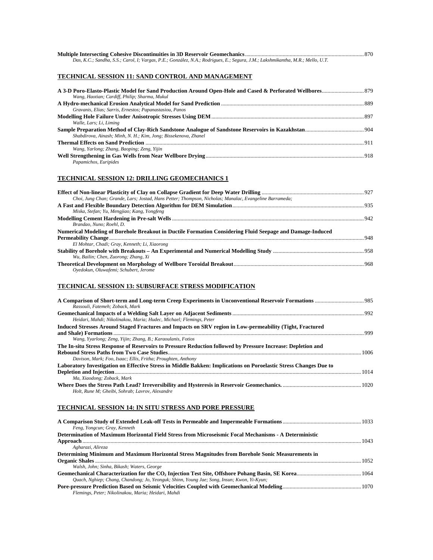| Das, K.C.; Sandha, S.S.; Carol, I; Vargas, P.E.; González, N.A.; Rodrigues, E.; Segura, J.M.; Lakshmikantha, M.R.; Mello, U.T. |  |
|--------------------------------------------------------------------------------------------------------------------------------|--|

## **TECHNICAL SESSION 11: SAND CONTROL AND MANAGEMENT**

| Wang, Haotian; Cardiff, Philip; Sharma, Mukul                   |  |
|-----------------------------------------------------------------|--|
|                                                                 |  |
| Gravanis, Elias; Sarris, Ernestos; Papanastasiou, Panos         |  |
|                                                                 |  |
| Walle, Lars; Li, Liming                                         |  |
|                                                                 |  |
| Shabdirova, Ainash; Minh, N. H.; Kim, Jong; Bissekenova, Zhanel |  |
|                                                                 |  |
| Wang, Yarlong; Zhang, Baoping; Zeng, Yijin                      |  |
|                                                                 |  |
| Papamichos, Euripides                                           |  |
|                                                                 |  |

## **TECHNICAL SESSION 12: DRILLING GEOMECHANICS 1**

| Choi, Jung Chan; Grande, Lars; Jostad, Hans Petter; Thompson, Nicholas; Manalac, Evangeline Barrameda;    |  |
|-----------------------------------------------------------------------------------------------------------|--|
|                                                                                                           |  |
| Miska, Stefan; Yu, Mengjiao; Kang, Yongfeng                                                               |  |
|                                                                                                           |  |
| Brandao, Nuno: Roehl, D.                                                                                  |  |
| Numerical Modeling of Borehole Breakout in Ductile Formation Considering Fluid Seepage and Damage-Induced |  |
|                                                                                                           |  |
| El Mohtar, Chadi; Gray, Kenneth; Li, Xiaorong                                                             |  |
|                                                                                                           |  |
| Wu, Bailin; Chen, Zuorong; Zhang, Xi                                                                      |  |
|                                                                                                           |  |
| Ovedokun, Oluwafemi: Schubert, Jerome                                                                     |  |

## **TECHNICAL SESSION 13: SUBSURFACE STRESS MODIFICATION**

| Rassouli, Fatemeh: Zoback, Mark                                                                                  |      |
|------------------------------------------------------------------------------------------------------------------|------|
|                                                                                                                  |      |
| Heidari, Mahdi; Nikolinakou, Maria; Hudec, Michael; Flemings, Peter                                              |      |
| Induced Stresses Around Staged Fractures and Impacts on SRV region in Low-permeability (Tight, Fractured         |      |
|                                                                                                                  |      |
| Wang, Yvarlong; Zeng, Yijin; Zhang, B.; Karaoulanis, Fotios                                                      |      |
| The In-situ Stress Response of Reservoirs to Pressure Reduction followed by Pressure Increase: Depletion and     |      |
|                                                                                                                  | 1006 |
| Davison, Mark: Foo, Isaac: Ellis, Fritha: Proughten, Anthony                                                     |      |
| Laboratory Investigation on Effective Stress in Middle Bakken: Implications on Poroelastic Stress Changes Due to |      |
|                                                                                                                  |      |
| Ma, Xiaodong; Zoback, Mark                                                                                       |      |
|                                                                                                                  |      |
| Holt, Rune M: Gheibi, Sohrab: Lavrov, Alexandre                                                                  |      |

## **TECHNICAL SESSION 14: IN SITU STRESS AND PORE PRESSURE**

| Feng, Yongcun; Gray, Kenneth                                                                          |  |
|-------------------------------------------------------------------------------------------------------|--|
| Determination of Maximum Horizontal Field Stress from Microseismic Focal Mechanisms - A Deterministic |  |
|                                                                                                       |  |
| Agharazi, Alireza                                                                                     |  |
| Determining Minimum and Maximum Horizontal Stress Magnitudes from Borehole Sonic Measurements in      |  |
|                                                                                                       |  |
| Walsh, John; Sinha, Bikash; Waters, George                                                            |  |
|                                                                                                       |  |
| Quach, Nghiep; Chang, Chandong; Jo, Yeonguk; Shinn, Young Jae; Song, Insun; Kwon, Yi-Kyun;            |  |
|                                                                                                       |  |
| Flemings, Peter; Nikolinakou, Maria; Heidari, Mahdi                                                   |  |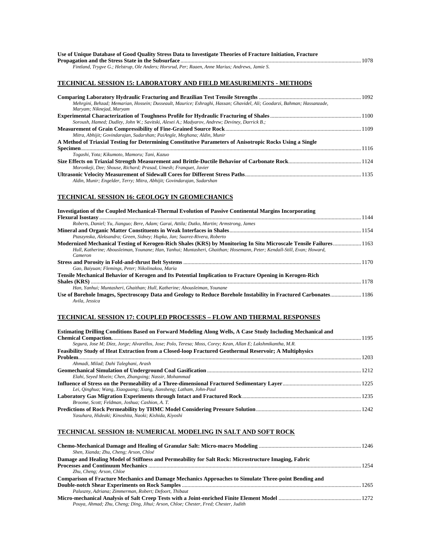| Use of Unique Database of Good Ouality Stress Data to Investigate Theories of Fracture Initiation, Fracture |  |
|-------------------------------------------------------------------------------------------------------------|--|
|                                                                                                             |  |
| Fintland, Trygve G.; Helstrup, Ole Anders; Horsrud, Per; Raaen, Anne Marius; Andrews, Jamie S.              |  |

#### **TECHNICAL SESSION 15: LABORATORY AND FIELD MEASUREMENTS - METHODS**

| Mehrgini, Behzad; Memarian, Hossein; Dusseault, Maurice; Eshraghi, Hassan; Ghavidel, Ali; Goodarzi, Bahman; Hassanzade,<br>Maryam; Niknejad, Maryam |  |
|-----------------------------------------------------------------------------------------------------------------------------------------------------|--|
|                                                                                                                                                     |  |
| Soroush, Hamed; Dudley, John W.; Savitski, Alexei A.; Madyarov, Andrew; Deviney, Darrick B.;                                                        |  |
|                                                                                                                                                     |  |
| Mitra, Abhijit; Govindarajan, Sudarshan; PaiAngle, Meghana; Aldin, Munir                                                                            |  |
| A Method of Triaxial Testing for Determining Constitutive Parameters of Anisotropic Rocks Using a Single                                            |  |
|                                                                                                                                                     |  |
| Togashi, Yota; Kikumoto, Mamoru; Tani, Kazuo                                                                                                        |  |
|                                                                                                                                                     |  |
| Moronkeji, Dee; Shouse, Richard; Prasad, Umesh; Franquet, Javier                                                                                    |  |
|                                                                                                                                                     |  |
| Aldin, Munir; Engelder, Terry; Mitra, Abhijit; Govindarajan, Sudarshan                                                                              |  |

## **TECHNICAL SESSION 16: GEOLOGY IN GEOMECHANICS**

| Investigation of the Coupled Mechanical-Thermal Evolution of Passive Continental Margins Incorporating                              |
|-------------------------------------------------------------------------------------------------------------------------------------|
|                                                                                                                                     |
| Roberts, Daniel; Yu, Jianguo; Bere, Adam; Garai, Attila; Dutko, Martin; Armstrong, James                                            |
|                                                                                                                                     |
| Ptaszynska, Aleksandra; Green, Sidney; Hupka, Jan; Suarez-Rivera, Roberto                                                           |
| Modernized Mechanical Testing of Kerogen-Rich Shales (KRS) by Monitoring In Situ Microscale Tensile Failures 1163                   |
| Hull, Katherine; Abousleiman, Younane; Han, Yanhui; Muntasheri, Ghaithan; Hosemann, Peter; Kendall-Still, Evan; Howard,             |
| Cameron                                                                                                                             |
|                                                                                                                                     |
| Gao, Baiyuan; Flemings, Peter; Nikolinakou, Maria                                                                                   |
| Tensile Mechanical Behavior of Kerogen and Its Potential Implication to Fracture Opening in Kerogen-Rich                            |
|                                                                                                                                     |
| Han, Yanhui: Muntasheri, Ghaithan: Hull, Katherine: Abousleiman, Younane                                                            |
| Use of Borehole Images, Spectroscopy Data and Geology to Reduce Borehole Instability in Fractured Carbonates 1186<br>Avila, Jessica |

## **TECHNICAL SESSION 17: COUPLED PROCESSES – FLOW AND THERMAL RESPONSES**

| Estimating Drilling Conditions Based on Forward Modeling Along Wells, A Case Study Including Mechanical and   |      |
|---------------------------------------------------------------------------------------------------------------|------|
|                                                                                                               |      |
| Segura, Jose M; Díez, Jorge; Alvarellos, Jose; Polo, Teresa; Moss, Corey; Kean, Allan E; Lakshmikantha, M.R.  |      |
| <b>Feasibility Study of Heat Extraction from a Closed-loop Fractured Geothermal Reservoir; A Multiphysics</b> |      |
|                                                                                                               | 1203 |
| Ahmadi, Milad; Dahi Taleghani, Arash                                                                          |      |
|                                                                                                               |      |
| Elahi, Seyed Moein; Chen, Zhangxing; Nassir, Mohammad                                                         |      |
|                                                                                                               |      |
| Lei, Oinghua; Wang, Xiaoguang; Xiang, Jiansheng; Latham, John-Paul                                            |      |
|                                                                                                               |      |
| Broome, Scott: Feldman, Joshua: Cashion, A. T.                                                                |      |
|                                                                                                               |      |
| Yasuhara, Hideaki: Kinoshita, Naoki: Kishida, Kiyoshi                                                         |      |

## **TECHNICAL SESSION 18: NUMERICAL MODELING IN SALT AND SOFT ROCK**

| 1254 |
|------|
|      |
|      |
|      |
|      |
|      |
|      |
|      |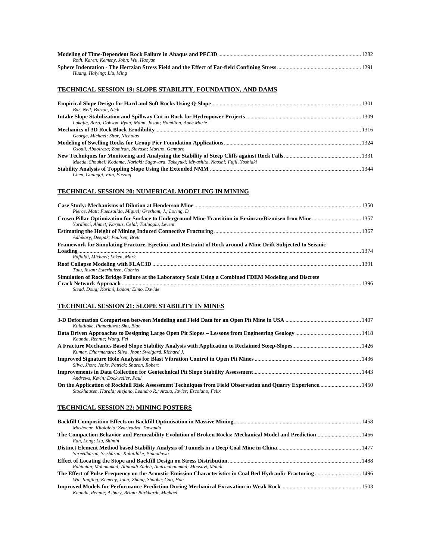| Roth, Karen; Kemeny, John; Wu, Haoyan |  |
|---------------------------------------|--|
|                                       |  |
| Huang, Haiying; Liu, Ming             |  |

## **TECHNICAL SESSION 19: SLOPE STABILITY, FOUNDATION, AND DAMS**

| Bar, Neil: Barton, Nick                                                                 |  |
|-----------------------------------------------------------------------------------------|--|
|                                                                                         |  |
| Lukajic, Boro; Dobson, Ryan; Mann, Jason; Hamilton, Anne Marie                          |  |
|                                                                                         |  |
| George, Michael; Sitar, Nicholas                                                        |  |
|                                                                                         |  |
| Osouli, Abdolreza: Zamiran, Siavash: Marino, Gennaro                                    |  |
|                                                                                         |  |
| Maeda, Shouhei; Kodama, Nariaki; Sugawara, Takayuki; Miyashita, Naoshi; Fujii, Yoshiaki |  |
|                                                                                         |  |
| Chen, Guanggi; Fan, Fusong                                                              |  |
|                                                                                         |  |

## **TECHNICAL SESSION 20: NUMERICAL MODELING IN MINING**

| Pierce, Matt; Fuenzalida, Miguel; Gresham, J.; Loring, D.                                                   |      |
|-------------------------------------------------------------------------------------------------------------|------|
|                                                                                                             |      |
| Yardimci, Ahmet; Karpuz, Celal; Tutluoglu, Levent                                                           |      |
|                                                                                                             |      |
| Adhikary, Deepak; Poulsen, Brett                                                                            |      |
| Framework for Simulating Fracture, Ejection, and Restraint of Rock around a Mine Drift Subjected to Seismic |      |
|                                                                                                             | 1374 |
| Raffaldi, Michael: Loken, Mark                                                                              |      |
|                                                                                                             |      |
| Tulu, Ihsan: Esterhuizen, Gabriel                                                                           |      |
| Simulation of Rock Bridge Failure at the Laboratory Scale Using a Combined FDEM Modeling and Discrete       |      |
|                                                                                                             | 1396 |
| Stead, Doug: Karimi, Ladan: Elmo, Davide                                                                    |      |

## **TECHNICAL SESSION 21: SLOPE STABILITY IN MINES**

| Kulatilake, Pinnaduwa: Shu, Biao                                                                                                                                                        |  |
|-----------------------------------------------------------------------------------------------------------------------------------------------------------------------------------------|--|
| Kaunda, Rennie; Wang, Fei                                                                                                                                                               |  |
| Kumar, Dharmendra; Silva, Jhon; Sweigard, Richard J.                                                                                                                                    |  |
| Silva, Jhon: Jenks, Patrick: Sharon, Robert                                                                                                                                             |  |
| Andrews, Kevin: Dockweiler, Paul                                                                                                                                                        |  |
| On the Application of Rockfall Risk Assessment Techniques from Field Observation and Quarry Experience 1450<br>Stockhausen, Harald; Alejano, Leandro R.; Arzua, Javier; Escolano, Felix |  |

## **TECHNICAL SESSION 22: MINING POSTERS**

| Mashoene, Kholofelo; Zvarivadza, Tawanda                         |  |
|------------------------------------------------------------------|--|
|                                                                  |  |
| Fan, Long; Liu, Shimin                                           |  |
|                                                                  |  |
| Shreedharan, Srisharan; Kulatilake, Pinnaduwa                    |  |
|                                                                  |  |
| Rahimian, Mohammad; Aliabadi Zadeh, Amirmohammad; Moosavi, Mahdi |  |
|                                                                  |  |
| Wu, Jingjing; Kemeny, John; Zhang, Shaohe; Cao, Han              |  |
|                                                                  |  |
| Kaunda, Rennie; Asbury, Brian; Burkhardt, Michael                |  |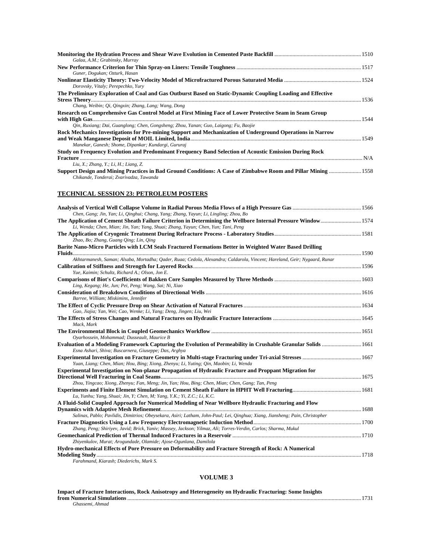| Galaa, A.M.; Grabinsky, Murray                                                                                                                           |      |
|----------------------------------------------------------------------------------------------------------------------------------------------------------|------|
|                                                                                                                                                          |      |
| Guner, Dogukan; Ozturk, Hasan                                                                                                                            |      |
|                                                                                                                                                          |      |
| Dorovsky, Vitaly; Perepechko, Yury                                                                                                                       |      |
| The Preliminary Exploration of Coal and Gas Outburst Based on Static-Dynamic Coupling Loading and Effective                                              |      |
|                                                                                                                                                          |      |
| Chang, Weibin; Oi, Oingxin; Zhang, Lang; Wang, Dong                                                                                                      |      |
| Research on Comprehensive Gas Control Model at First Mining Face of Lower Protective Seam in Seam Group                                                  |      |
|                                                                                                                                                          | 1544 |
| Oin, Ruxiang; Dai, Guanglong; Chen, Gongsheng; Zhou, Yanan; Guo, Laigong; Fu, Baojie                                                                     |      |
| Rock Mechanics Investigations for Pre-mining Support and Mechanization of Underground Operations in Narrow                                               |      |
|                                                                                                                                                          |      |
| Manekar, Ganesh; Shome, Dipankar; Kundargi, Gururaj                                                                                                      |      |
| Study on Frequency Evolution and Predominant Frequency Band Selection of Acoustic Emission During Rock                                                   |      |
|                                                                                                                                                          |      |
| Liu, X.; Zhang, Y.; Li, H.; Liang, Z.                                                                                                                    |      |
| Support Design and Mining Practices in Bad Ground Conditions: A Case of Zimbabwe Room and Pillar Mining  1558<br>Chikande, Tonderai; Zvarivadza, Tawanda |      |

## **TECHNICAL SESSION 23: PETROLEUM POSTERS**

| Chen, Gang; Jin, Yan; Li, Qinghui; Chang, Yang; Zhang, Yayun; Li, Lingling; Zhou, Bo                                                                                   |  |
|------------------------------------------------------------------------------------------------------------------------------------------------------------------------|--|
| The Application of Cement Sheath Failure Criterion in Determining the Wellbore Internal Pressure Window 1574                                                           |  |
| Li, Wenda; Chen, Mian; Jin, Yan; Yang, Shuai; Zhang, Yayun; Chen, Yun; Tani, Peng                                                                                      |  |
| Zhao, Bo; Zhang, Guang Qing; Lin, Qing                                                                                                                                 |  |
| Barite Nano-Micro Particles with LCM Seals Fractured Formations Better in Weighted Water Based Drilling                                                                |  |
| Akhtarmanesh, Saman; Alsaba, Mortadha; Oader, Ruaa; Cedola, Alexandra; Caldarola, Vincent; Hareland, Geir; Nygaard, Runar                                              |  |
| Yue, Kaimin; Schultz, Richard A.; Olson, Jon E.                                                                                                                        |  |
| Ling, Kegang; He, Jun; Pei, Peng; Wang, Sai; Ni, Xiao                                                                                                                  |  |
| Barree, William; Miskimins, Jennifer                                                                                                                                   |  |
| Gao, Jiajia; Yan, Wei; Cao, Wenke; Li, Yang; Deng, Jingen; Liu, Wei                                                                                                    |  |
| Mack, Mark                                                                                                                                                             |  |
| Oyarhossein, Mohammad; Dusseault, Maurice B                                                                                                                            |  |
| Evaluation of a Modeling Framework Capturing the Evolution of Permeability in Crushable Granular Solids  1661<br>Esna Ashari, Shiva; Buscarnera, Giuseppe; Das, Arghya |  |
| Yuan, Liang; Chen, Mian; Hou, Bing; Xiong, Zhenyu; Li, Yuting; Qin, Maobin; Li, Wenda                                                                                  |  |
| Experimental Investigation on Non-planar Propagation of Hydraulic Fracture and Proppant Migration for                                                                  |  |
| Zhou, Yingcao; Xiong, Zhenyu; Fan, Meng; Jin, Yan; Hou, Bing; Chen, Mian; Chen, Gang; Tan, Peng                                                                        |  |
| Lu, Yunhu; Yang, Shuai; Jin, Y; Chen, M; Yang, Y.K.; Yi, Z.C.; Li, K.C.                                                                                                |  |
| A Fluid-Solid Coupled Approach for Numerical Modeling of Near Wellbore Hydraulic Fracturing and Flow                                                                   |  |
|                                                                                                                                                                        |  |
| Salinas, Pablo; Pavlidis, Dimitrios; Obeysekara, Asiri; Latham, John-Paul; Lei, Qinghua; Xiang, Jiansheng; Pain, Christopher                                           |  |
|                                                                                                                                                                        |  |
| Zhang, Peng; Shiriyev, Javid; Brick, Yaniv; Massey, Jackson; Yilmaz, Ali; Torres-Verdin, Carlos; Sharma, Mukul                                                         |  |
| Zhiyenkulov, Murat; Arogundade, Olamide; Ajose-Ogunlana, Damilola                                                                                                      |  |
| Hydro-mechanical Effects of Pore Pressure on Deformability and Fracture Strength of Rock: A Numerical                                                                  |  |
|                                                                                                                                                                        |  |
| Farahmand, Kiarash; Diederichs, Mark S.                                                                                                                                |  |
|                                                                                                                                                                        |  |

## **VOLUME 3**

| Impact of Fracture Interactions, Rock Anisotropy and Heterogeneity on Hydraulic Fracturing: Some Insights |  |
|-----------------------------------------------------------------------------------------------------------|--|
|                                                                                                           |  |
| Ghassemi. Ahmad                                                                                           |  |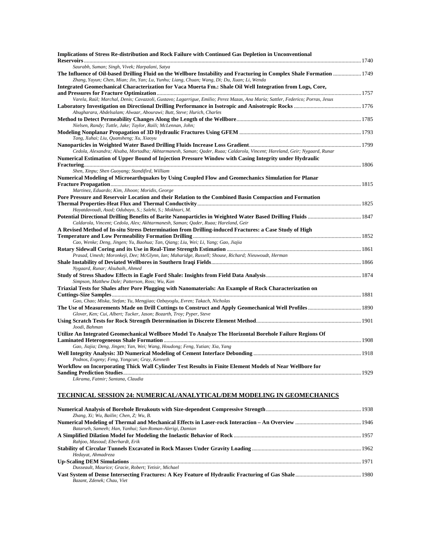| <b>Implications of Stress Re-distribution and Rock Failure with Continued Gas Depletion in Unconventional</b>                                                                                                            |  |
|--------------------------------------------------------------------------------------------------------------------------------------------------------------------------------------------------------------------------|--|
| Saurabh, Suman; Singh, Vivek; Harpalani, Satya                                                                                                                                                                           |  |
| 1749 The Influence of Oil-based Drilling Fluid on the Wellbore Instability and Fracturing in Complex Shale Formation  1749<br>Zhang, Yayun; Chen, Mian; Jin, Yan; Lu, Yunhu; Liang, Chuan; Wang, Di; Du, Xuan; Li, Wenda |  |
| Integrated Geomechanical Characterization for Vaca Muerta Fm.: Shale Oil Well Integration from Logs, Core,                                                                                                               |  |
| Varela, Raúl; Marchal, Denis; Cavazzoli, Gustavo; Lagarrigue, Emilio; Perez Mazas, Ana María; Sattler, Federico; Porras, Jesus                                                                                           |  |
| Abugharara, Abdelsalam; Alwaar, Abourawi; Butt, Steve; Hurich, Charles                                                                                                                                                   |  |
| Nielsen, Randy; Tuttle, Jake; Taylor, Raili; McLennan, John;                                                                                                                                                             |  |
| Tang, Xuhai; Liu, Quansheng; Xu, Xiaoyu                                                                                                                                                                                  |  |
|                                                                                                                                                                                                                          |  |
| Cedola, Alexandra; Alsaba, Mortadha; Akhtarmanesh, Saman; Qader, Ruaa; Caldarola, Vincent; Hareland, Geir; Nygaard, Runar                                                                                                |  |
| Numerical Estimation of Upper Bound of Injection Pressure Window with Casing Integrity under Hydraulic                                                                                                                   |  |
| Shen, Xinpu; Shen Guoyang; Standifird, William                                                                                                                                                                           |  |
| Numerical Modeling of Microearthquakes by Using Coupled Flow and Geomechanics Simulation for Planar                                                                                                                      |  |
| Martinez, Eduardo; Kim, Jihoon; Moridis, George                                                                                                                                                                          |  |
| Pore Pressure and Reservoir Location and their Relation to the Combined Basin Compaction and Formation                                                                                                                   |  |
| Hayatdavoudi, Asad; Odubayo, S.; Salehi, S.; Mokhtari, M.                                                                                                                                                                |  |
|                                                                                                                                                                                                                          |  |
| Caldarola, Vincent; Cedola, Alex; Akhtarmanesh, Saman; Qader, Ruaa; Hareland, Geir                                                                                                                                       |  |
| A Revised Method of In-situ Stress Determination from Drilling-induced Fractures: a Case Study of High                                                                                                                   |  |
|                                                                                                                                                                                                                          |  |
| Cao, Wenke; Deng, Jingen; Yu, Baohua; Tan, Qiang; Liu, Wei; Li, Yang; Gao, Jiajia                                                                                                                                        |  |
|                                                                                                                                                                                                                          |  |
| Prasad, Umesh; Moronkeji, Dee; McGlynn, Ian; Maharidge, Russell; Shouse, Richard; Nieuwoudt, Herman                                                                                                                      |  |
|                                                                                                                                                                                                                          |  |
| Nygaard, Runar; Alsubaih, Ahmed                                                                                                                                                                                          |  |
| Simpson, Matthew Dale; Patterson, Ross; Wu, Kan                                                                                                                                                                          |  |
| Triaxial Tests for Shales after Pore Plugging with Nanomaterials: An Example of Rock Characterization on                                                                                                                 |  |
|                                                                                                                                                                                                                          |  |
| Gao, Chao; Miska, Stefan; Yu, Mengjiao; Ozbayoglu, Evren; Takach, Nicholas                                                                                                                                               |  |
| Glover, Ken; Cui, Albert; Tucker, Jason; Bozarth, Troy; Pyper, Steve                                                                                                                                                     |  |
| Joodi, Bahman                                                                                                                                                                                                            |  |
| Utilize An Integrated Geomechanical Wellbore Model To Analyze The Horizontal Borehole Failure Regions Of                                                                                                                 |  |
| Gao, Jiajia; Deng, Jingen; Yan, Wei; Wang, Houdong; Feng, Yutian; Xia, Yang                                                                                                                                              |  |
|                                                                                                                                                                                                                          |  |
| Podnos, Evgeny; Feng, Yongcun; Gray, Kenneth                                                                                                                                                                             |  |
| Workflow on Incorporating Thick Wall Cylinder Test Results in Finite Element Models of Near Wellbore for                                                                                                                 |  |
| Likrama, Fatmir; Santana, Claudia                                                                                                                                                                                        |  |
|                                                                                                                                                                                                                          |  |

## **TECHNICAL SESSION 24: NUMERICAL/ANALYTICAL/DEM MODELING IN GEOMECHANICS**

| Zhang, Xi; Wu, Bailin; Chen, Z; Wu, B.                   |  |
|----------------------------------------------------------|--|
|                                                          |  |
| Batarseh, Sameeh; Han, Yanhui; San-Roman-Alerigi, Damian |  |
|                                                          |  |
| Rahjoo, Masoud; Eberhardt, Erik                          |  |
|                                                          |  |
| Hedayat, Ahmadreza                                       |  |
|                                                          |  |
| Dusseault, Maurice: Gracie, Robert: Yetisir, Michael     |  |
|                                                          |  |
| Bazant, Zdenek: Chau, Viet                               |  |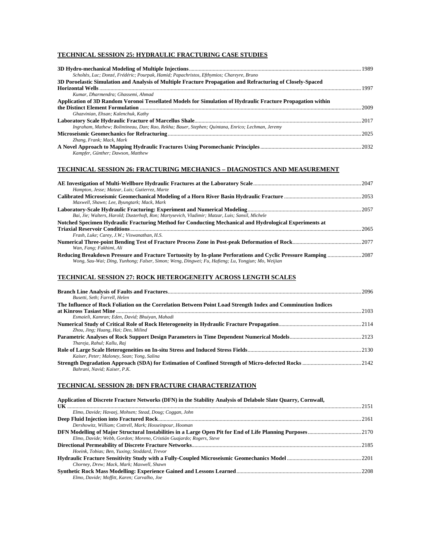## **TECHNICAL SESSION 25: HYDRAULIC FRACTURING CASE STUDIES**

| Scholtès, Luc; Donzé, Frédéric; Pourpak, Hamid; Papachristos, Efthymios; Chareyre, Bruno                                                          | 1989 |
|---------------------------------------------------------------------------------------------------------------------------------------------------|------|
| 3D Poroelastic Simulation and Analysis of Multiple Fracture Propagation and Refracturing of Closely-Spaced                                        | 1997 |
| Kumar, Dharmendra: Ghassemi, Ahmad<br>Application of 3D Random Voronoi Tessellated Models for Simulation of Hydraulic Fracture Propagation within | 2009 |
| Ghazvinian, Ehsan: Kalenchuk, Kathy                                                                                                               |      |
| Ingraham, Mathew; Bolintineau, Dan; Rao, Rekha; Bauer, Stephen; Quintana, Enrico; Lechman, Jeremy<br>Zhang, Frank; Mack, Mark                     | 2025 |
| Kampfer, Günther: Dawson, Matthew                                                                                                                 |      |

## **TECHNICAL SESSION 26: FRACTURING MECHANICS – DIAGNOSTICS AND MEASUREMENT**

| Hampton, Jesse; Matzar, Luis; Gutierrez, Marte                                                                                                                                                                     |      |
|--------------------------------------------------------------------------------------------------------------------------------------------------------------------------------------------------------------------|------|
|                                                                                                                                                                                                                    |      |
| Maxwell, Shawn; Lee, Byungtark; Mack, Mark                                                                                                                                                                         |      |
|                                                                                                                                                                                                                    |      |
| Bai, Jie; Walters, Harold; Dusterhoft, Ron; Martysevich, Vladimir; Matzar, Luis; Sansil, Michele                                                                                                                   |      |
| Notched Specimen Hydraulic Fracturing Method for Conducting Mechanical and Hydrological Experiments at                                                                                                             |      |
|                                                                                                                                                                                                                    | 2065 |
| Frash, Luke; Carey, J.W.; Viswanathan, H.S.                                                                                                                                                                        |      |
|                                                                                                                                                                                                                    |      |
| Wan, Fang; Fakhimi, Ali                                                                                                                                                                                            |      |
| Reducing Breakdown Pressure and Fracture Tortuosity by In-plane Perforations and Cyclic Pressure Ramping 2087<br>Wong, Sau-Wai; Ding, Yunhong; Falser, Simon; Weng, Dingwei; Fu, Hafieng; Lu, Yongjun; Mo, Weijian |      |

## **TECHNICAL SESSION 27: ROCK HETEROGENEITY ACROSS LENGTH SCALES**

|                                                                                                              | -2096 |
|--------------------------------------------------------------------------------------------------------------|-------|
| Busetti, Seth: Farrell, Helen                                                                                |       |
| The Influence of Rock Foliation on the Correlation Between Point Load Strength Index and Comminution Indices |       |
|                                                                                                              | 2103  |
| Esmaieli, Kamran; Eden, David; Bhuiyan, Mahadi                                                               |       |
|                                                                                                              |       |
| Zhou, Jing; Huang, Hai; Deo, Milind                                                                          |       |
|                                                                                                              |       |
| Thareja, Rahul; Kallu, Raj                                                                                   |       |
|                                                                                                              |       |
| Kaiser, Peter; Maloney, Sean; Yong, Salina                                                                   |       |
|                                                                                                              |       |
| Bahrani, Navid: Kaiser, P.K.                                                                                 |       |

## **TECHNICAL SESSION 28: DFN FRACTURE CHARACTERIZATION**

| Application of Discrete Fracture Networks (DFN) in the Stability Analysis of Delabole Slate Quarry, Cornwall, |      |
|---------------------------------------------------------------------------------------------------------------|------|
|                                                                                                               | 2151 |
| Elmo, Davide; Havaej, Mohsen; Stead, Doug; Coggan, John                                                       |      |
|                                                                                                               | 2161 |
| Dershowitz, William; Cottrell, Mark; Hosseinpour, Hooman                                                      |      |
|                                                                                                               |      |
| Elmo, Davide; Webb, Gordon; Moreno, Cristián Guajardo; Rogers, Steve                                          |      |
|                                                                                                               |      |
| Hoeink, Tobias; Ben, Yuxing; Stoddard, Trevor                                                                 |      |
|                                                                                                               |      |
| Chorney, Drew; Mack, Mark; Maxwell, Shawn                                                                     |      |
|                                                                                                               | 2208 |
| Elmo, Davide: Moffitt, Karen: Carvalho, Joe                                                                   |      |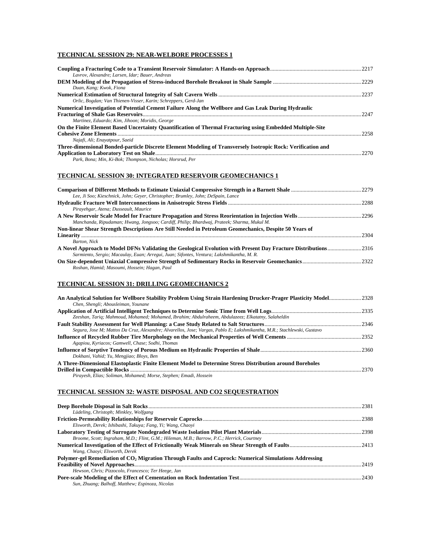## **TECHNICAL SESSION 29: NEAR-WELBORE PROCESSES 1**

| Lavrov, Alexandre: Larsen, Idar: Bauer, Andreas                                                              |      |
|--------------------------------------------------------------------------------------------------------------|------|
|                                                                                                              |      |
| Duan, Kang; Kwok, Fiona                                                                                      | 2237 |
| Orlic, Bogdan; Van Thienen-Visser, Karin; Schreppers, Gerd-Jan                                               |      |
| Numerical Investigation of Potential Cement Failure Along the Wellbore and Gas Leak During Hydraulic         |      |
| Martinez, Eduardo: Kim, Jihoon: Moridis, George                                                              | 2247 |
| On the Finite Element Based Uncertainty Quantification of Thermal Fracturing using Embedded Multiple-Site    |      |
| Najafi, Ali; Enayatpour, Saeid                                                                               | 2258 |
| Three-dimensional Bonded-particle Discrete Element Modeling of Transversely Isotropic Rock: Verification and |      |
|                                                                                                              | 2270 |
| Park, Bona; Min, Ki-Bok; Thompson, Nicholas; Horsrud, Per                                                    |      |

## **TECHNICAL SESSION 30: INTEGRATED RESERVOIR GEOMECHANICS 1**

| Lee, Ji Soo; Kieschnick, John; Gever, Christopher; Brumley, John; DeSpain, Lance                                                                                                                            |      |
|-------------------------------------------------------------------------------------------------------------------------------------------------------------------------------------------------------------|------|
|                                                                                                                                                                                                             |      |
| Pirayehgar, Atena; Dusseault, Maurice                                                                                                                                                                       |      |
|                                                                                                                                                                                                             |      |
| Manchanda, Ripudaman; Hwang, Jongsoo; Cardiff, Philip; Bhardwaj, Prateek; Sharma, Mukul M.                                                                                                                  |      |
| Non-linear Shear Strength Descriptions Are Still Needed in Petroleum Geomechanics, Despite 50 Years of                                                                                                      |      |
|                                                                                                                                                                                                             | 2304 |
| Barton, Nick                                                                                                                                                                                                |      |
| A Novel Approach to Model DFNs Validating the Geological Evolution with Present Day Fracture Distributions2316<br>Sarmiento, Sergio; Macaulay, Euan; Arregui, Juan; Sifontes, Ventura; Lakshmikantha, M. R. |      |
| Roshan, Hamid; Masoumi, Hossein; Hagan, Paul                                                                                                                                                                |      |

#### **TECHNICAL SESSION 31: DRILLING GEOMECHANICS 2**

| An Analytical Solution for Wellbore Stability Problem Using Strain Hardening Drucker-Prager Plasticity Model2328        |      |
|-------------------------------------------------------------------------------------------------------------------------|------|
| Chen, Shengli; Abousleiman, Younane                                                                                     |      |
|                                                                                                                         |      |
| Zeeshan, Tariq; Mahmoud, Mohamed; Mohamed, Ibrahim; Abdulraheem, Abdulazeez; Elkatatny, Salaheldin                      |      |
|                                                                                                                         |      |
| Segura, Jose M; Mattos Da Cruz, Alexandre; Alvarellos, Jose; Vargas, Pablo E; Lakshmikantha, M.R.; Stachlewski, Gustavo |      |
|                                                                                                                         |      |
| Agapiou, Kyriacos; Gamwell, Chase; Sodhi, Thomas                                                                        |      |
|                                                                                                                         |      |
| Dokhani, Vahid; Yu, Mengjiao; Bloys, Ben                                                                                |      |
| A Three-Dimensional Elastoplastic Finite Element Model to Determine Stress Distribution around Boreholes                |      |
|                                                                                                                         | 2370 |
| Pirayesh, Elias; Soliman, Mohamed; Morse, Stephen; Emadi, Hossein                                                       |      |

## **TECHNICAL SESSION 32: WASTE DISPOSAL AND CO2 SEQUESTRATION**

|                                                                                                                   | -2381  |
|-------------------------------------------------------------------------------------------------------------------|--------|
| Lüdeling, Christoph; Minkley, Wolfgang                                                                            |        |
|                                                                                                                   | - 2388 |
| Elsworth, Derek; Ishibashi, Takuya; Fang, Yi; Wang, Chaoyi                                                        |        |
|                                                                                                                   | 2398   |
| Broome, Scott; Ingraham, M.D.; Flint, G.M.; Hileman, M.B.; Barrow, P.C.; Herrick, Courtney                        |        |
|                                                                                                                   |        |
| Wang, Chaovi; Elsworth, Derek                                                                                     |        |
| Polymer-gel Remediation of CO <sub>2</sub> Migration Through Faults and Caprock: Numerical Simulations Addressing |        |
|                                                                                                                   | 2419   |
| Hewson, Chris; Pizzocolo, Francesco; Ter Heege, Jan                                                               |        |
|                                                                                                                   | 2430   |
| Sun, Zhuang; Balhoff, Matthew; Espinoza, Nicolas                                                                  |        |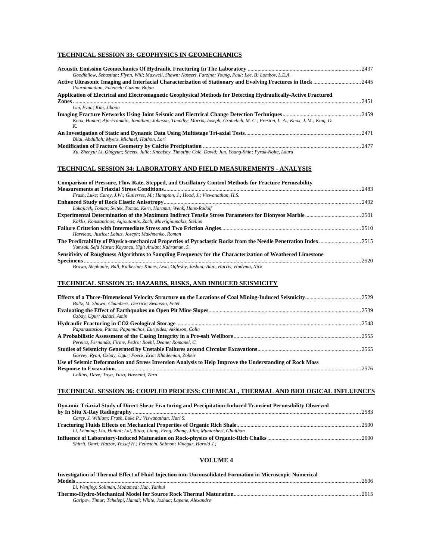## **TECHNICAL SESSION 33: GEOPHYSICS IN GEOMECHANICS**

| Goodfellow, Sebastian; Flynn, Will; Maxwell, Shawn; Nasseri, Farzine; Young, Paul; Lee, B; Lombos, L.E.A.                       |      |
|---------------------------------------------------------------------------------------------------------------------------------|------|
|                                                                                                                                 |      |
| Pourahmadian, Fatemeh: Guzina, Bojan                                                                                            |      |
| Application of Electrical and Electromagnetic Geophysical Methods for Detecting Hydraulically-Active Fractured                  |      |
|                                                                                                                                 | 2451 |
| Um. Evan: Kim. Jihoon                                                                                                           |      |
|                                                                                                                                 |      |
| Knox, Hunter; Ajo-Franklin, Jonathan; Johnson, Timothy; Morris, Joseph; Grubelich, M. C.; Preston, L. A.; Knox, J. M.; King, D. |      |
| K.                                                                                                                              |      |
|                                                                                                                                 |      |
| Bilal, Abdullah; Myers, Michael; Hathon, Lori                                                                                   |      |
|                                                                                                                                 |      |
| Xu, Zhenyu; Li, Qingyun; Sheets, Julie; Kneafsey, Timothy; Cole, David; Jun, Young-Shin; Pyrak-Nolte, Laura                     |      |

#### **TECHNICAL SESSION 34: LABORATORY AND FIELD MEASUREMENTS - ANALYSIS**

#### **Comparison of Pressure, Flow Rate, Stepped, and Oscillatory Control Methods for Fracture Permeability**

|                                                                                                           | 2483 |
|-----------------------------------------------------------------------------------------------------------|------|
| Frash, Luke; Carey, J.W.; Gutierrez, M.; Hampton, J.; Hood, J.; Viswanathan, H.S.                         |      |
|                                                                                                           | 2492 |
| Lokajicek, Tomas; Svitek, Tomas; Kern, Hartmut; Wenk, Hans-Rudolf                                         |      |
|                                                                                                           |      |
| Kaklis, Konstantinos; Agioutantis, Zach; Mavrigiannakis, Stelios                                          |      |
|                                                                                                           |      |
| Harvieux, Justice; Labuz, Joseph; Makhnenko, Roman                                                        |      |
|                                                                                                           |      |
| Yumsak, Sefa Murat; Koyuncu, Yigit Arslan; Kahraman, S.                                                   |      |
| Sensitivity of Roughness Algorithms to Sampling Frequency for the Characterization of Weathered Limestone |      |
|                                                                                                           | 2520 |
| Brown, Stephanie; Ball, Katherine; Kimes, Lexi; Oglesby, Joshua; Alan, Harris; Hudyma, Nick               |      |

#### **TECHNICAL SESSION 35: HAZARDS, RISKS, AND INDUCED SEISMICITY**

| Boltz, M. Shawn: Chambers, Derrick: Swanson, Peter                                                      |        |
|---------------------------------------------------------------------------------------------------------|--------|
|                                                                                                         |        |
| Ozbay, Ugur; Azhari, Amin                                                                               |        |
|                                                                                                         | - 2548 |
| Papanastasiou, Panos; Papamichos, Euripides; Atkinson, Colin                                            |        |
|                                                                                                         |        |
| Pereira, Fernanda: Firme, Pedro: Roehl, Deane: Romanel, C.                                              |        |
|                                                                                                         |        |
| Garvey, Ryan; Ozbay, Ugur; Poeck, Eric; Khademian, Zoheir                                               |        |
| Use of Seismic Deformation and Stress Inversion Analysis to Help Improve the Understanding of Rock Mass |        |
|                                                                                                         | 2576   |
| Collins, Dave; Toya, Yuzo; Hosseini, Zara                                                               |        |

#### **TECHNICAL SESSION 36: COUPLED PROCESS: CHEMICAL, THERMAL AND BIOLOGICAL INFLUENCES**

| Dynamic Triaxial Study of Direct Shear Fracturing and Precipitation-Induced Transient Permeability Observed |  |
|-------------------------------------------------------------------------------------------------------------|--|
|                                                                                                             |  |
| Carev, J. William; Frash, Luke P.; Viswanathan, Hari S.                                                     |  |
|                                                                                                             |  |
| Li, Leiming; Liu, Huihai; Lai, Bitao; Liang, Feng; Zhang, Jilin; Muntasheri, Ghaithan                       |  |
|                                                                                                             |  |
| Shitrit, Omri; Hatzor, Yossef H.; Feinstein, Shimon; Vinegar, Harold J.;                                    |  |

#### **VOLUME 4**

| Investigation of Thermal Effect of Fluid Injection into Unconsolidated Formation in Microscopic Numerical |  |
|-----------------------------------------------------------------------------------------------------------|--|
|                                                                                                           |  |
| Li, Wenjing; Soliman, Mohamed; Han, Yanhui                                                                |  |
|                                                                                                           |  |
| Garipov, Timur; Tchelepi, Hamdi; White, Joshua; Lapene, Alexandre                                         |  |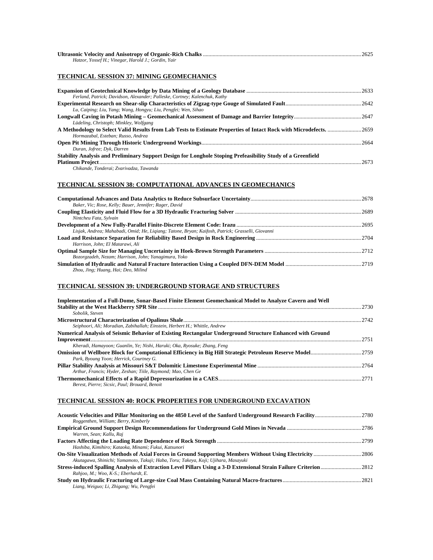| Hatzor, Yossef H.; Vinegar, Harold J.; Gordin, Yair |  |
|-----------------------------------------------------|--|

## **TECHNICAL SESSION 37: MINING GEOMECHANICS**

| Ferland, Patrick; Davidson, Alexander; Palleske, Cortney; Kalenchuk, Kathy                                  |      |
|-------------------------------------------------------------------------------------------------------------|------|
|                                                                                                             |      |
| Lu, Caiping; Liu, Yang; Wang, Hongyu; Liu, Pengfei; Wen, Sihao                                              |      |
|                                                                                                             |      |
| Lüdeling, Christoph: Minkley, Wolfgang                                                                      |      |
|                                                                                                             |      |
| Hormazabal, Esteban: Russo, Andrea                                                                          |      |
|                                                                                                             |      |
| Duran, Jofree; Dyk, Darren                                                                                  |      |
| Stability Analysis and Preliminary Support Design for Longhole Stoping Prefeasibility Study of a Greenfield |      |
|                                                                                                             | 2673 |
| Chikande. Tonderai; Zvarivadza, Tawanda                                                                     |      |

## **TECHNICAL SESSION 38: COMPUTATIONAL ADVANCES IN GEOMECHANICS**

| Baker, Vic; Rose, Kelly; Bauer, Jennifer; Rager, David                                            |  |
|---------------------------------------------------------------------------------------------------|--|
|                                                                                                   |  |
| Nintcheu Fata, Sylvain                                                                            |  |
|                                                                                                   |  |
| Lisjak, Andrea; Mahabadi, Omid; He, Ligiang; Tatone, Bryan; Kaifosh, Patrick; Grasselli, Giovanni |  |
|                                                                                                   |  |
| Harrison, John: El Matarawi, Ali                                                                  |  |
|                                                                                                   |  |
| Bozorgzadeh, Nezam; Harrison, John; Yanagimura, Yoko                                              |  |
|                                                                                                   |  |
| Zhou, Jing; Huang, Hai; Deo, Milind                                                               |  |

## **TECHNICAL SESSION 39: UNDERGROUND STORAGE AND STRUCTURES**

| Implementation of a Full-Dome, Sonar-Based Finite Element Geomechanical Model to Analyze Cavern and Well  |      |
|-----------------------------------------------------------------------------------------------------------|------|
|                                                                                                           | 2730 |
| Sobolik Steven                                                                                            |      |
|                                                                                                           | 2742 |
| Seiphoori, Ali; Moradian, Zabihallah; Einstein, Herbert H.; Whittle, Andrew                               |      |
| Numerical Analysis of Seismic Behavior of Existing Rectangular Underground Structure Enhanced with Ground |      |
|                                                                                                           | 2751 |
| Kheradi, Hamayoon; Guanlin, Ye; Nishi, Haruki; Oka, Ryosuke; Zhang, Feng                                  |      |
|                                                                                                           |      |
| Park, Byoung Yoon: Herrick, Courtney G.                                                                   |      |
|                                                                                                           |      |
| Arthur, Francis; Hyder, Zeshan; Tiile, Raymond; Mao, Chen Ge                                              |      |
|                                                                                                           |      |
| Berest, Pierre: Sicsic, Paul: Brouard, Benoit                                                             |      |
|                                                                                                           |      |

## **TECHNICAL SESSION 40: ROCK PROPERTIES FOR UNDERGROUND EXCAVATION**

| Roggenthen, William; Berry, Kimberly                                               |  |
|------------------------------------------------------------------------------------|--|
|                                                                                    |  |
| Warren, Sean; Kallu, Raj                                                           |  |
|                                                                                    |  |
| Hashiba, Kimihiro; Kataoka, Minami; Fukui, Katsunori                               |  |
|                                                                                    |  |
| Akutagawa, Shinichi; Yamamoto, Takuji; Haba, Toru; Takeya, Koji; Ujihara, Masayuki |  |
|                                                                                    |  |
| Rahjoo, M.; Woo, K-S.; Eberhardt, E.                                               |  |
|                                                                                    |  |
| Liang, Weiguo; Li, Zhigang; Wu, Pengfei                                            |  |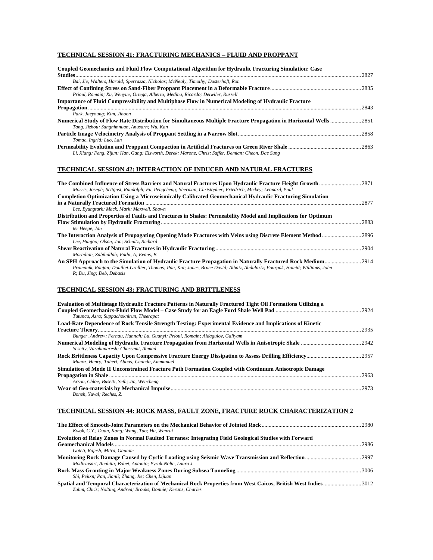## **TECHNICAL SESSION 41: FRACTURING MECHANICS – FLUID AND PROPPANT**

| Coupled Geomechanics and Fluid Flow Computational Algorithm for Hydraulic Fracturing Simulation: Case             |      |
|-------------------------------------------------------------------------------------------------------------------|------|
|                                                                                                                   | 2827 |
| Bai, Jie; Walters, Harold; Sperrazza, Nicholas; McNealy, Timothy; Dusterhoft, Ron                                 |      |
|                                                                                                                   |      |
| Prioul, Romain; Xu, Wenyue; Ortega, Alberto; Medina, Ricardo; Detwiler, Russell                                   |      |
| Importance of Fluid Compressibility and Multiphase Flow in Numerical Modeling of Hydraulic Fracture               |      |
|                                                                                                                   | 2843 |
| Park, Jaeyoung; Kim, Jihoon                                                                                       |      |
| Numerical Study of Flow Rate Distribution for Simultaneous Multiple Fracture Propagation in Horizontal Wells 2851 |      |
| Tang, Jizhou; Sangnimnuan, Anusarn; Wu, Kan                                                                       |      |
|                                                                                                                   |      |
| Tomac, Ingrid; Luo, Lan                                                                                           |      |
|                                                                                                                   |      |
| Li, Xiang; Feng, Zijun; Han, Gang; Elsworth, Derek; Marone, Chris; Saffer, Demian; Cheon, Dae Sung                |      |

#### **TECHNICAL SESSION 42: INTERACTION OF INDUCED AND NATURAL FRACTURES**

| Morris, Joseph; Settgast, Randolph; Fu, Pengcheng; Sherman, Christopher; Friedrich, Mickey; Leonard, Paul                    |        |
|------------------------------------------------------------------------------------------------------------------------------|--------|
| <b>Completion Optimization Using a Microseismically Calibrated Geomechanical Hydraulic Fracturing Simulation</b>             |        |
|                                                                                                                              | 2877   |
| Lee, Byungtark; Mack, Mark; Maxwell, Shawn                                                                                   |        |
| Distribution and Properties of Faults and Fractures in Shales: Permeability Model and Implications for Optimum               |        |
|                                                                                                                              | 2883   |
| ter Heege, Jan                                                                                                               |        |
|                                                                                                                              | . 2896 |
| Lee, Hunjoo; Olson, Jon; Schultz, Richard                                                                                    |        |
|                                                                                                                              | .2904  |
| Moradian, Zabihallah: Fathi, A: Evans, B.                                                                                    |        |
|                                                                                                                              |        |
| Pramanik, Ranjan; Douillet-Grellier, Thomas; Pan, Kai; Jones, Bruce David; Albaiz, Abdulaziz; Pourpak, Hamid; Williams, John |        |
| R; Du, Jing; Deb, Debasis                                                                                                    |        |

#### **TECHNICAL SESSION 43: FRACTURING AND BRITTLENESS**

| Evaluation of Multistage Hydraulic Fracture Patterns in Naturally Fractured Tight Oil Formations Utilizing a |      |
|--------------------------------------------------------------------------------------------------------------|------|
| Tutuncu, Azra; Suppachoknirun, Theerapat                                                                     |      |
| Load-Rate Dependence of Rock Tensile Strength Testing: Experimental Evidence and Implications of Kinetic     |      |
|                                                                                                              | 2935 |
| Bunger, Andrew; Fernau, Hannah; Lu, Guanyi; Prioul, Romain; Aidagulov, Gallyam                               |      |
| Sesetty, Varahanaresh: Ghassemi, Ahmad                                                                       |      |
| Munoz, Henry; Taheri, Abbas; Chanda, Emmanuel                                                                |      |
| Simulation of Mode II Unconstrained Fracture Path Formation Coupled with Continuum Anisotropic Damage        |      |
|                                                                                                              | 2963 |
| Arson, Chloe: Busetti, Seth: Jin, Wencheng                                                                   |      |
|                                                                                                              | 2973 |
| Boneh, Yuval: Reches, Z.                                                                                     |      |

## **TECHNICAL SESSION 44: ROCK MASS, FAULT ZONE, FRACTURE ROCK CHARACTERIZATION 2**

|                                                                                                                | -2980 |
|----------------------------------------------------------------------------------------------------------------|-------|
| Kwok, C.Y.; Duan, Kang; Wang, Tao; Hu, Wanrui                                                                  |       |
| Evolution of Relay Zones in Normal Faulted Terranes: Integrating Field Geological Studies with Forward         |       |
|                                                                                                                | 2986  |
| Goteti, Rajesh; Mitra, Gautam                                                                                  |       |
|                                                                                                                |       |
| Modiriasari, Anahita; Bobet, Antonio; Pyrak-Nolte, Laura J.                                                    |       |
|                                                                                                                |       |
| Shi, Peiixn; Pan, Jianli; Zhang, Jie; Chen, Lijuan                                                             |       |
| Spatial and Temporal Characterization of Mechanical Rock Properties from West Caicos, British West Indies 3012 |       |
| Zahm, Chris; Nolting, Andrea; Brooks, Donnie; Kerans, Charles                                                  |       |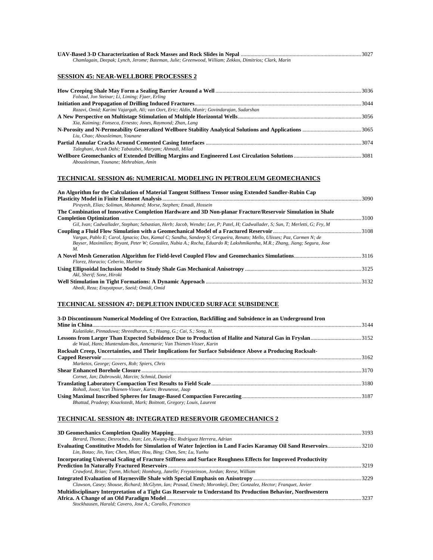| Chamlagain, Deepak; Lynch, Jerome; Bateman, Julie; Greenwood, William; Zekkos, Dimitrios; Clark, Marin |  |
|--------------------------------------------------------------------------------------------------------|--|
| <b>SESSION 45: NEAR-WELLBORE PROCESSES 2</b>                                                           |  |
|                                                                                                        |  |
| Folstad, Jon Steinar; Li, Liming; Fjaer, Erling                                                        |  |
|                                                                                                        |  |
| Razavi, Omid; Karimi Vajargah, Ali; van Oort, Eric; Aldin, Munir; Govindarajan, Sudarshan              |  |
|                                                                                                        |  |
| Xia, Kaiming; Fonseca, Ernesto; Jones, Raymond; Zhan, Lang                                             |  |
|                                                                                                        |  |
| Liu, Chao: Abousleiman, Younane                                                                        |  |
|                                                                                                        |  |
| Taleghani, Arash Dahi; Tabatabei, Maryam; Ahmadi, Milad                                                |  |
|                                                                                                        |  |
| Abousleiman, Younane: Mehrabian, Amin                                                                  |  |

## **TECHNICAL SESSION 46: NUMERICAL MODELING IN PETROLEUM GEOMECHANICS**

| An Algorithm for the Calculation of Material Tangent Stiffness Tensor using Extended Sandler-Rubin Cap                                                                                                                                               |       |
|------------------------------------------------------------------------------------------------------------------------------------------------------------------------------------------------------------------------------------------------------|-------|
|                                                                                                                                                                                                                                                      | -3090 |
| Pirayesh, Elias; Soliman, Mohamed; Morse, Stephen; Emadi, Hossein                                                                                                                                                                                    |       |
| The Combination of Innovative Completion Hardware and 3D Non-planar Fracture/Reservoir Simulation in Shale                                                                                                                                           |       |
|                                                                                                                                                                                                                                                      | 3100  |
| Gil, Ivan; Cadwallader, Stephan; Sebastian, Herb; Jacob, Wendte; Lee, P; Patel, H; Cadwallader, S; Sun, T; Merletti, G; Fry, M                                                                                                                       |       |
|                                                                                                                                                                                                                                                      |       |
| Vargas, Pablo E; Carol, Ignacio; Das, Kamal C; Sandha, Sandeep S; Cerqueira, Renato; Mello, Ulisses; Paz, Carmen N; de<br>Bayser, Maximilien; Bryant, Peter W; González, Nubia A.; Rocha, Eduardo R; Lakshmikantha, M.R.; Zhang, Jiang; Segura, Jose |       |
| M.                                                                                                                                                                                                                                                   |       |
| Florez, Horacio: Ceberio, Martine                                                                                                                                                                                                                    |       |
|                                                                                                                                                                                                                                                      |       |
| Akl. Sherif: Sone. Hiroki                                                                                                                                                                                                                            |       |
|                                                                                                                                                                                                                                                      |       |
| Abedi, Reza; Enavatpour, Saeid; Omidi, Omid                                                                                                                                                                                                          |       |

## **TECHNICAL SESSION 47: DEPLETION INDUCED SURFACE SUBSIDENCE**

| 3-D Discontinuum Numerical Modeling of Ore Extraction, Backfilling and Subsidence in an Underground Iron |       |
|----------------------------------------------------------------------------------------------------------|-------|
|                                                                                                          | 3144  |
| Kulatilake, Pinnaduwa; Shreedharan, S.; Huang, G.; Cai, S.; Song, H.                                     |       |
| de Waal, Hans: Muntendam-Bos, Annemarie: Van Thienen-Visser, Karin                                       |       |
| Rocksalt Creep, Uncertainties, and Their Implications for Surface Subsidence Above a Producing Rocksalt- |       |
|                                                                                                          | 3162  |
| Marketos, George; Govers, Rob; Spiers, Chris                                                             |       |
|                                                                                                          | 3170  |
| Cornet, Jan: Dabrowski, Marcin: Schmid, Daniel                                                           |       |
|                                                                                                          | -3180 |
| Roholl, Joost; Van Thienen-Visser, Karin; Breunesse, Jaap                                                |       |
|                                                                                                          |       |
| Bhattad, Pradeep; Knackstedt, Mark; Boitnott, Gregory; Louis, Laurent                                    |       |

## **TECHNICAL SESSION 48: INTEGRATED RESERVOIR GEOMECHANICS 2**

| Berard, Thomas; Desroches, Jean; Lee, Kwang-Ho; Rodriguez Herrera, Adrian                                        |      |
|------------------------------------------------------------------------------------------------------------------|------|
| Evaluating Constitutive Models for Simulation of Water Injection in Land Facies Karamay Oil Sand Reservoirs3210  |      |
| Lin, Botao; Jin, Yan; Chen, Mian; Hou, Bing; Chen, Sen; Lu, Yunhu                                                |      |
| Incorporating Universal Scaling of Fracture Stiffness and Surface Roughness Effects for Improved Productivity    |      |
|                                                                                                                  | 3219 |
| Crawford, Brian; Tsenn, Michael; Homburg, Janelle; Freysteinson, Jordan; Reese, William                          |      |
|                                                                                                                  |      |
| Clawson, Casey; Shouse, Richard; McGlynn, Ian; Prasad, Umesh; Moronkeji, Dee; Gonzalez, Hector; Franquet, Javier |      |
| Multidisciplinary Interpretation of a Tight Gas Reservoir to Understand Its Production Behavior, Northwestern    |      |
|                                                                                                                  | 3237 |
| Stockhausen, Harald; Cavero, Jose A.; Corallo, Francesco                                                         |      |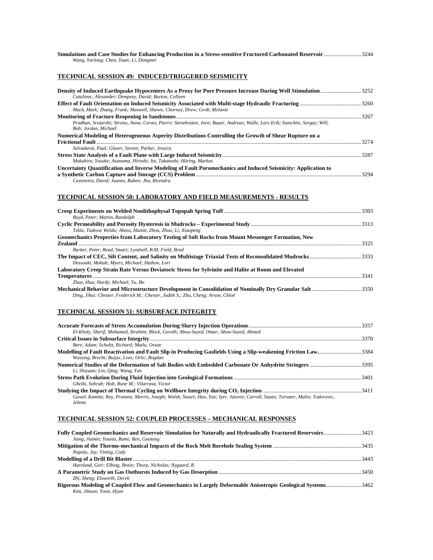| Wang, Yarlong; Chen, Yuan; Li, Dongmei                                                                                                                   |       |
|----------------------------------------------------------------------------------------------------------------------------------------------------------|-------|
| <b>TECHNICAL SESSION 49: INDUCED/TRIGGERED SEISMICITY</b>                                                                                                |       |
| Catalinac, Alexander; Dempsey, David; Barton, Colleen                                                                                                    |       |
| Mack, Mark; Zhang, Frank; Maxwell, Shawn; Chorney, Drew; Grob, Melanie                                                                                   |       |
| Pradhan, Srutarshi; Stroisz, Anna; Cerasi, Pierre; Stenebraten, Jorn; Bauer, Andreas; Walle, Lars Erik; Stanchits, Sergey; Will,<br>Bob: Jordan, Michael |       |
| Numerical Modeling of Heterogeneous Asperity Distributions Controlling the Growth of Shear Rupture on a                                                  |       |
| Selvadurai, Paul: Glaser, Steven: Parker, Jessica                                                                                                        | .3274 |
| Mukuhira, Yusuke; Asanuma, Hiroshi; Ito, Takatoshi; Häring, Markus                                                                                       |       |
| Uncertainty Quantification and Inverse Modeling of Fault Poromechanics and Induced Seismicity: Application to                                            |       |

## **TECHNICAL SESSION 50: LABORATORY AND FIELD MEASUREMENTS - RESULTS**

| Boyd, Peter: Martin, Randolph                                                                                                                                                               |      |
|---------------------------------------------------------------------------------------------------------------------------------------------------------------------------------------------|------|
| Teklu, Tadesse Weldu; Abass, Hazim; Zhou, Zhou; Li, Xiaopeng                                                                                                                                |      |
| Geomechanics Properties from Laboratory Testing of Soft Rocks from Mount Messenger Formation, New                                                                                           | 3325 |
| Barker, Peter: Read, Stuart: Lyndsell, B.M: Field, Brad                                                                                                                                     |      |
| Dessouki, Mohab: Myers, Michael: Hathon, Lori                                                                                                                                               |      |
| Laboratory Creep Strain Rate Versus Deviatoric Stress for Sylvinite and Halite at Room and Elevated                                                                                         |      |
|                                                                                                                                                                                             |      |
| Zhao, Hua; Hardy, Michael; Yu, Bo                                                                                                                                                           |      |
| Mechanical Behavior and Microstructure Development in Consolidation of Nominally Dry Granular Salt 3350<br>Ding, Jihui; Chester, Frederick M.; Chester, Judith S.; Zhu, Cheng; Arson, Chloé |      |

#### **TECHNICAL SESSION 51: SUBSURFACE INTEGRITY**

*Jelena* 

*Castineira, David; Juanes, Ruben; Jha, Birendra* 

| El-Kholy, Sherif; Mohamed, Ibrahim; Block, Gareth; Abou-Sayed, Omar; Abou-Sayed, Ahmed                                           |  |
|----------------------------------------------------------------------------------------------------------------------------------|--|
|                                                                                                                                  |  |
| Bere, Adam: Schultz, Richard: Mutlu, Ovunc                                                                                       |  |
| Modelling of Fault Reactivation and Fault Slip in Producing Gasfields Using a Slip-weakening Friction Law3384                    |  |
| Wassing, Brecht; Buijze, Loes; Orlic, Bogdan                                                                                     |  |
| Numerical Studies of the Deformation of Salt Bodies with Embedded Carbonate Or Anhydrite Stringers3395                           |  |
| Li, Shiyuan; Lin, Oing; Wang, Yan                                                                                                |  |
|                                                                                                                                  |  |
| Gheibi, Sohrab: Holt, Rune M.: Vilarrasa, Victor                                                                                 |  |
|                                                                                                                                  |  |
| Gawel, Kamila; Rov, Pratanu; Morris, Joseph; Walsh, Stuart; Hao, Yue; Iyer, Jaisree; Carroll, Susan; Torsater, Malin; Todorovic, |  |
| $L = L$                                                                                                                          |  |

## **TECHNICAL SESSION 52: COUPLED PROCESSES – MECHANICAL RESPONSES**

| Fully Coupled Geomechanics and Reservoir Simulation for Naturally and Hydraulically Fractured Reservoirs3423 |  |
|--------------------------------------------------------------------------------------------------------------|--|
| Jiang, Jiamin; Younis, Rami; Ren, Guotong                                                                    |  |
|                                                                                                              |  |
| Nopola, Jay; Vining, Cody                                                                                    |  |
|                                                                                                              |  |
| Hareland, Geir; Elbing, Brain; Thorp, Nicholas; Nygaard, R.                                                  |  |
|                                                                                                              |  |
| Zhi, Sheng; Elsworth, Derek                                                                                  |  |
| Rigorous Modeling of Coupled Flow and Geomechanics in Largely Deformable Anisotropic Geological Systems3462  |  |
| Kim, Jihoon; Yoon, Hyun                                                                                      |  |